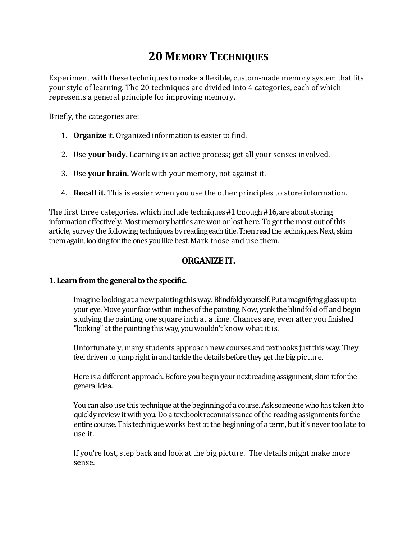# **20 MEMORY TECHNIQUES**

Experiment with these techniques to make a flexible, custom-made memory system that fits your style of learning. The 20 techniques are divided into 4 categories, each of which represents a general principle for improving memory.

Briefly, the categories are:

- 1. **Organize** it. Organized information is easier to find.
- 2. Use **your body.** Learning is an active process; get all your senses involved.
- 3. Use **your brain.** Work with your memory, not against it.
- 4. **Recall it.** This is easier when you use the other principles to store information.

The first three categories, which include techniques #1 through #16, are about storing information effectively. Most memory battles are won or lost here. To get the most out of this article, survey the following techniques by reading each title. Then read the techniques. Next, skim them again, looking for the ones you like best. Mark those and use them.

# **ORGANIZE IT.**

# **1. Learn from the general to the specific.**

Imagine looking at a new painting this way. Blindfold yourself. Put a magnifying glass up to your eye. Move your face within inches of the painting. Now, yank the blindfold off and begin studying the painting, one square inch at a time. Chances are, even after you finished "looking" at the painting this way, you wouldn't know what it is.

Unfortunately, many students approach new courses and textbooks just this way. They feel driven to jump right in and tackle the details before they get the big picture.

Here is a different approach. Before you begin your next reading assignment, skim it for the general idea.

You can also use this technique at the beginning of a course. Ask someone who has taken it to quickly review it with you. Do a textbook reconnaissance of the reading assignments for the entire course. This technique works best at the beginning of a term, but it's never too late to use it.

If you're lost, step back and look at the big picture. The details might make more sense.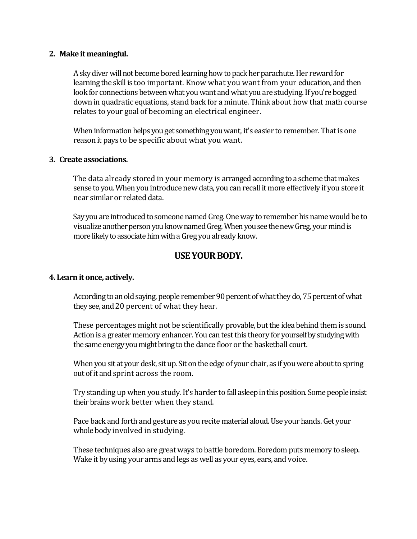#### **2. Make it meaningful.**

A sky diver will not become bored learning how to pack her parachute. Her reward for learning the skill is too important. Know what you want from your education, and then look for connections between what you want and what you are studying. If you're bogged down in quadratic equations, stand back for a minute. Think about how that math course relates to your goal of becoming an electrical engineer.

When information helps you get something you want, it's easier to remember. That is one reason it pays to be specific about what you want.

## **3. Create associations.**

The data already stored in your memory is arranged according to a scheme that makes sense to you. When you introduce new data, you can recall it more effectively if you store it near similar or related data.

Say you are introduced to someone named Greg. One way to remember his name would be to visualize another person you know named Greg. When you see the new Greg, your mind is more likely to associate him with a Greg you already know.

# **USE YOUR BODY.**

# **4. Learn it once, actively.**

According to an old saying, people remember 90 percent of what they do, 75 percent of what they see, and 20 percent of what they hear.

These percentages might not be scientifically provable, but the idea behind them is sound. Action is a greater memory enhancer. You can test this theory for yourself bystudying with the same energy you might bring to the dance floor or the basketball court.

When you sit at your desk, sit up. Sit on the edge of your chair, as if you were about to spring out of it and sprint across the room.

Try standing up when you study. It's harder to fall asleep in this position. Some people insist their brains work better when they stand.

Pace back and forth and gesture as you recite material aloud. Use your hands. Get your whole body involved in studying.

These techniques also are great ways to battle boredom. Boredom puts memory to sleep. Wake it by using your arms and legs as well as your eyes, ears, and voice.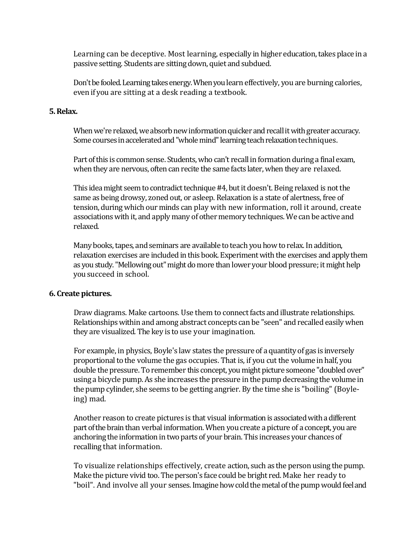Learning can be deceptive. Most learning, especially in higher education, takes place in a passive setting. Students are sitting down, quiet and subdued.

Don't be fooled. Learning takes energy. When you learn effectively, you are burning calories, even if you are sitting at a desk reading a textbook.

#### **5. Relax.**

When we're relaxed, we absorb new information quicker and recall it with greater accuracy. Some courses in accelerated and "whole mind" learning teach relaxation techniques.

Part of this is common sense. Students, who can't recall in formation during a final exam, when they are nervous, often can recite the same facts later, when they are relaxed.

This idea might seem to contradict technique #4, but it doesn't. Being relaxed is not the same as being drowsy, zoned out, or asleep. Relaxation is a state of alertness, free of tension, during which our minds can play with new information, roll it around, create associations with it, and apply many of other memory techniques. We can be active and relaxed.

Many books, tapes, and seminars are available to teach you howto relax. In addition, relaxation exercises are included in this book. Experiment with the exercises and apply them as you study. "Mellowing out" might do more than lower your blood pressure; it might help you succeed in school.

#### **6. Create pictures.**

Draw diagrams. Make cartoons. Use them to connect facts and illustrate relationships. Relationships within and among abstract concepts can be "seen" and recalled easily when they are visualized. The key is to use your imagination.

For example, in physics, Boyle's law states the pressure of a quantity of gas is inversely proportional to the volume the gas occupies. That is, if you cut the volume in half, you double the pressure. To remember this concept, you might picture someone "doubled over" using a bicycle pump. As she increases the pressure in the pump decreasing the volume in the pump cylinder, she seems to be getting angrier. By the time she is "boiling" (Boyleing) mad.

Another reason to create pictures is that visual information is associated with a different part of the brain than verbal information. When you create a picture of a concept, you are anchoring the information in two parts of your brain. This increases your chances of recalling that information.

To visualize relationships effectively, create action, such as the person using the pump. Make the picture vivid too. The person's face could be bright red. Make her ready to "boil". And involve all your senses. Imagine how cold the metal of the pump would feel and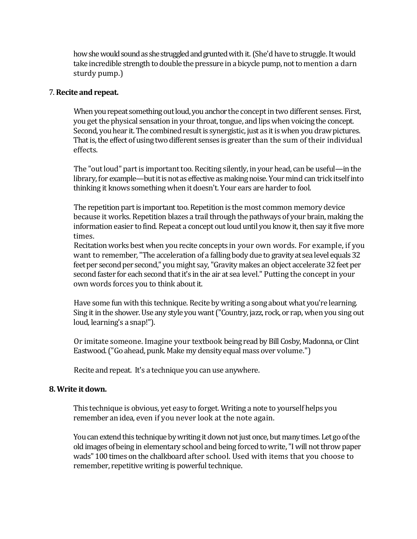how she would sound as she struggled and grunted with it. (She'd have to struggle. It would take incredible strength to double the pressure in a bicycle pump, not to mention a darn sturdy pump.)

#### 7. **Recite and repeat.**

When you repeat something out loud, you anchor the concept in two different senses. First, you get the physical sensation in your throat, tongue, and lips when voicing the concept. Second, you hear it. The combined result is synergistic, just as it is when you draw pictures. That is, the effect of using two different senses is greater than the sum of their individual effects.

The "out loud" part is important too. Reciting silently, in your head, can be useful—in the library, for example—but it is not as effective as making noise. Your mind can trick itself into thinking it knows something when it doesn't. Your ears are harder to fool.

The repetition part is important too. Repetition is the most common memory device because it works. Repetition blazes a trail through the pathways of your brain, making the information easier to find. Repeat a concept out loud until you know it, then say it five more times.

Recitation works best when you recite concepts in your own words. For example, if you want to remember, "The acceleration of a falling body due to gravity at sea level equals 32 feet per second per second," you might say, "Gravity makes an object accelerate 32 feet per second faster for each second that it's in the air at sea level." Putting the concept in your own words forces you to think about it.

Have some fun with this technique. Recite by writing a song about what you're learning. Sing it in the shower. Use any style you want ("Country, jazz, rock, or rap, when you sing out loud, learning's a snap!").

Or imitate someone. Imagine your textbook being read by Bill Cosby, Madonna, or Clint Eastwood. ("Go ahead, punk. Make my density equal mass over volume.")

Recite and repeat. It's a technique you can use anywhere.

# **8. Write it down.**

This technique is obvious, yet easy to forget. Writing a note to yourself helps you remember an idea, even if you never look at the note again.

You can extend this technique by writing it down not just once, but many times. Let go of the old images of being in elementary school and being forced to write, "I will not throw paper wads" 100 times on the chalkboard after school. Used with items that you choose to remember, repetitive writing is powerful technique.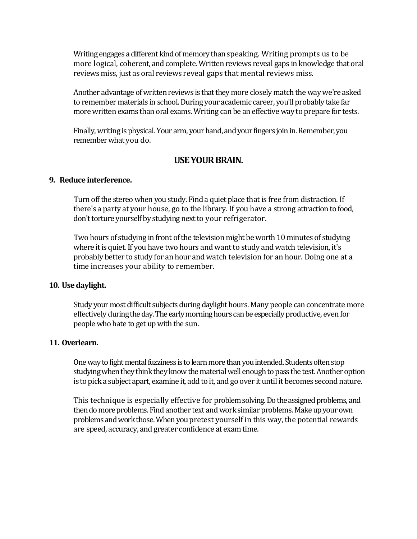Writing engages a different kind of memory than speaking. Writing prompts us to be more logical, coherent, and complete. Written reviews reveal gaps in knowledge that oral reviews miss, just as oral reviews reveal gaps that mental reviews miss.

Another advantage of written reviews is that they more closely match the way we're asked to remember materials in school. During your academic career, you'll probably take far more written exams than oral exams. Writing can be an effective way to prepare for tests.

Finally, writing is physical. Your arm, your hand, and your fingers join in. Remember, you remember what you do.

# **USE YOUR BRAIN.**

## **9. Reduce interference.**

Turn off the stereo when you study. Find a quiet place that is free from distraction. If there's a party at your house, go to the library. If you have a strong attraction to food, don't torture yourself by studying next to your refrigerator.

Two hours of studying in front of the television might be worth 10 minutes of studying where it is quiet. If you have two hours and want to study and watch television, it's probably better to study for an hour and watch television for an hour. Doing one at a time increases your ability to remember.

#### 10. Use daylight.

Study your most difficult subjects during daylight hours. Many people can concentrate more effectively during the day. The early morning hours can be especially productive, even for people who hate to get up with the sun.

# **11. Overlearn.**

One way to fight mental fuzziness is to learn more than you intended. Students often stop studying when they think they know the material well enough to pass the test. Another option is to pick a subject apart, examine it, add to it, and go over it until it becomes second nature.

This technique is especially effective for problem solving. Do the assigned problems, and then do more problems. Find another text and work similar problems. Make up your own problems and work those. When you pretest yourself in this way, the potential rewards are speed, accuracy, and greater confidence at exam time.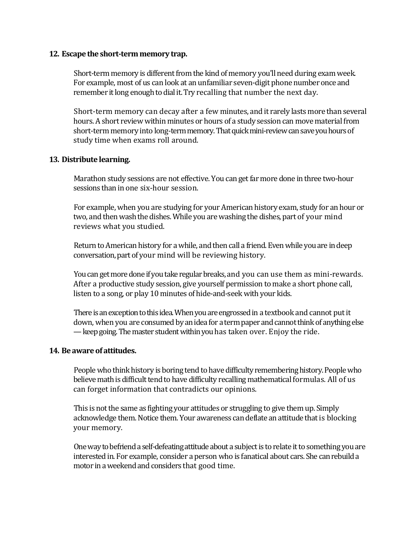#### **12. Escape the short-term memory trap.**

Short-term memory is different from the kind of memory you'll need during exam week. For example, most of us can look at an unfamiliar seven-digit phone number once and remember it long enough to dial it. Try recalling that number the next day.

Short-term memory can decay after a few minutes, and it rarely lasts more than several hours. A short review within minutes or hours of a study session can move material from short-term memory into long-term memory. That quick mini-review can save you hours of study time when exams roll around.

#### **13. Distribute learning.**

Marathon study sessions are not effective. You can get far more done in three two-hour sessions than in one six-hour session.

For example, when you are studying for your American history exam, study for an hour or two, and then wash the dishes. While you are washing the dishes, part of your mind reviews what you studied.

Return to American history for a while, and then call a friend. Even while you are in deep conversation, part of your mind will be reviewing history.

You can get more done if you take regular breaks, and you can use them as mini-rewards. After a productive study session, give yourself permission to make a short phone call, listen to a song, or play 10 minutes of hide-and-seek with your kids.

There is an exception to this idea. When you are engrossed in a textbook and cannot put it down, when you are consumed by an idea for a term paper and cannot think of anything else —keep going. The master student within you has taken over. Enjoy the ride.

#### **14. Be aware of attitudes.**

People who think history is boring tend to have difficulty remembering history. People who believe math is difficult tend to have difficulty recalling mathematical formulas. All of us can forget information that contradicts our opinions.

This is not the same as fighting your attitudes or struggling to give them up. Simply acknowledge them. Notice them. Your awareness can deflate an attitude that is blocking your memory.

One way to befriend a self-defeating attitude about a subject is to relate it to something you are interested in. For example, consider a person who is fanatical about cars. She can rebuild a motor in a weekend and considers that good time.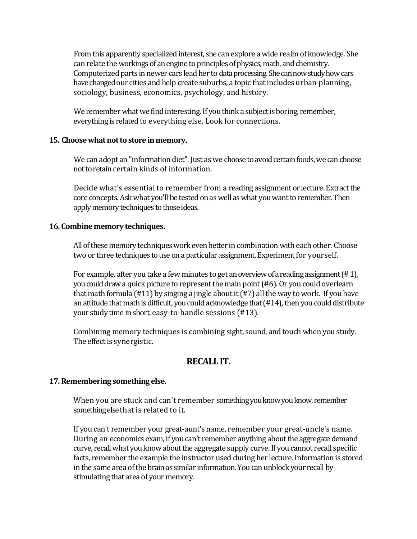From this apparently specialized interest, she can explore a wide realm of knowledge. She can relate the workings of an engine to principles of physics, math, and chemistry. Computerized parts in newer cars lead her to data processing. She can now study how cars have changed our cities and help create suburbs, a topic that includes urban planning, sociology, business, economics, psychology, and history.

We remember what we find interesting. If you think a subject is boring, remember, everything is related to everything else. Look for connections.

#### **15. Choose what not to store in memory.**

We can adopt an "information diet". Just as we choose to avoid certain foods, we can choose not to retain certain kinds of information.

Decide what's essential to remember from a reading assignment or lecture. Extract the core concepts. Ask what you'll be tested on as well as what you want to remember. Then apply memory techniques to those ideas.

#### **16. Combine memory techniques.**

All of these memory techniques work even better in combination with each other. Choose two or three techniques to use on a particular assignment. Experiment for yourself.

For example, after you take a few minutes to get an overview of a reading assignment (# 1), you could draw a quick picture to represent the main point (#6). Or you could overlearn that math formula (#11) by singing a jingle about it (#7) all the way to work. If you have an attitude that math is difficult, you could acknowledge that (#14), then you could distribute your study time in short, easy-to-handle sessions (#13).

Combining memory techniques is combining sight, sound, and touch when you study. The effect is synergistic.

# **RECALL IT.**

#### **17. Remembering something else.**

When you are stuck and can't remember something you know you know, remember something else that is related to it.

If you can't remember your great-aunt's name, remember your great-uncle's name. During an economics exam, if you can't remember anything about the aggregate demand curve, recall what you know about the aggregate supply curve. If you cannot recall specific facts, remember the example the instructor used during her lecture. Information is stored in the same area of the brain as similar information. Youcan unblock your recall by stimulating that area of your memory.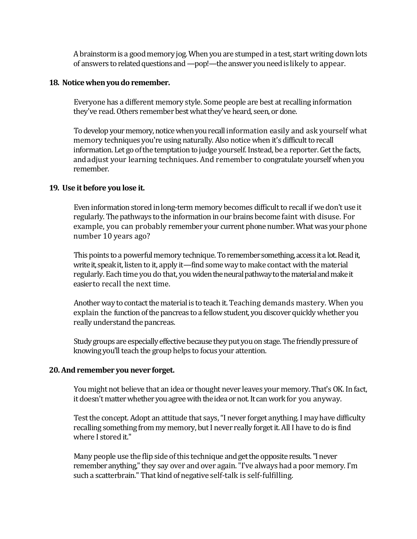A brainstorm is a good memory jog. When you are stumped in a test, start writing down lots of answers to related questions and —pop!—the answer you need is likely to appear.

#### **18. Notice when you do remember.**

Everyone has a different memory style. Some people are best at recalling information they've read. Others remember best what they've heard, seen, or done.

To develop your memory, notice when you recall information easily and ask yourself what memory techniques you're using naturally. Also notice when it's difficult to recall information. Let go of the temptation to judge yourself. Instead, be a reporter. Get the facts, and adjust your learning techniques. And remember to congratulate yourself when you remember.

#### **19. Use it before you lose it.**

Even information stored in long-term memory becomes difficult to recall if we don't use it regularly. The pathways to the information in our brains become faint with disuse. For example, you can probably remember your current phone number. What was your phone number 10 years ago?

This points to a powerful memory technique. To remember something, access it a lot. Read it, write it, speak it, listen to it, apply it—find some way to make contact with the material regularly. Each time you do that, you widen the neural pathway to the material and make it easier to recall the next time.

Another way to contact the material is to teach it. Teaching demands mastery. When you explain the function of the pancreas to a fellow student, you discover quickly whether you really understand the pancreas.

Study groups are especially effective because they put you on stage. The friendly pressure of knowing you'll teach the group helps to focus your attention.

#### **20. And remember you never forget.**

You might not believe that an idea or thought never leaves your memory. That's OK. In fact, it doesn't matter whether you agree with the idea or not. It can work for you anyway.

Test the concept. Adopt an attitude that says, "I never forget anything. I may have difficulty recalling something from my memory, but I never really forget it. All I have to do is find where I stored it."

Many people use the flip side of this technique and get the opposite results. "I never remember anything," they say over and over again. "I've always had a poor memory. I'm such a scatterbrain." That kind of negative self-talk is self-fulfilling.